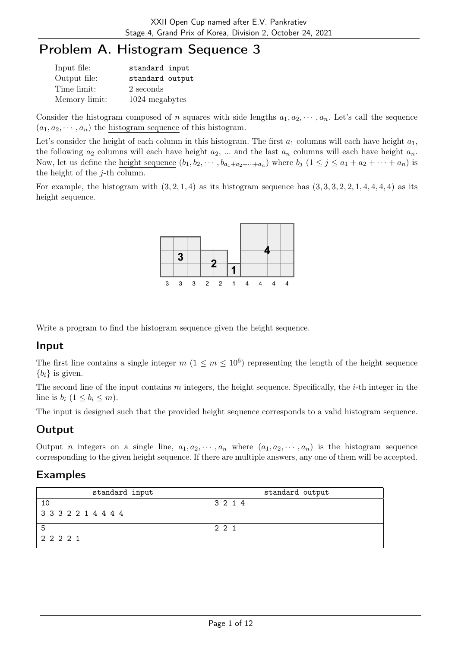# Problem A. Histogram Sequence 3

| Input file:   | standard input  |
|---------------|-----------------|
| Output file:  | standard output |
| Time limit:   | 2 seconds       |
| Memory limit: | 1024 megabytes  |

Consider the histogram composed of n squares with side lengths  $a_1, a_2, \dots, a_n$ . Let's call the sequence  $(a_1, a_2, \dots, a_n)$  the histogram sequence of this histogram.

Let's consider the height of each column in this histogram. The first  $a_1$  columns will each have height  $a_1$ , the following  $a_2$  columns will each have height  $a_2$ , ... and the last  $a_n$  columns will each have height  $a_n$ . Now, let us define the <u>height sequence</u>  $(b_1, b_2, \dots, b_{a_1+a_2+\dots+a_n})$  where  $b_j$   $(1 \le j \le a_1+a_2+\dots+a_n)$  is the height of the  $j$ -th column.

For example, the histogram with  $(3, 2, 1, 4)$  as its histogram sequence has  $(3, 3, 3, 2, 2, 1, 4, 4, 4, 4)$  as its height sequence.



Write a program to find the histogram sequence given the height sequence.

### Input

The first line contains a single integer  $m$   $(1 \le m \le 10^6)$  representing the length of the height sequence  ${b_i}$  is given.

The second line of the input contains  $m$  integers, the height sequence. Specifically, the  $i$ -th integer in the line is  $b_i$   $(1 \leq b_i \leq m)$ .

The input is designed such that the provided height sequence corresponds to a valid histogram sequence.

### Output

Output *n* integers on a single line,  $a_1, a_2, \dots, a_n$  where  $(a_1, a_2, \dots, a_n)$  is the histogram sequence corresponding to the given height sequence. If there are multiple answers, any one of them will be accepted.

| standard input      | standard output |
|---------------------|-----------------|
| 10                  | 3 2 1 4         |
| 3 3 3 2 2 1 4 4 4 4 |                 |
| 5                   | 221             |
| 2 2 2 2 1           |                 |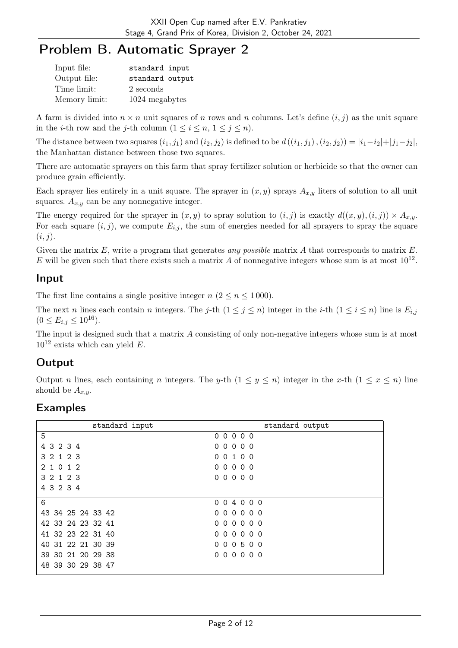## Problem B. Automatic Sprayer 2

| Input file:   | standard input  |
|---------------|-----------------|
| Output file:  | standard output |
| Time limit:   | 2 seconds       |
| Memory limit: | 1024 megabytes  |

A farm is divided into  $n \times n$  unit squares of n rows and n columns. Let's define  $(i, j)$  as the unit square in the *i*-th row and the *j*-th column  $(1 \le i \le n, 1 \le j \le n)$ .

The distance between two squares  $(i_1, j_1)$  and  $(i_2, j_2)$  is defined to be  $d((i_1, j_1), (i_2, j_2)) = |i_1 - i_2| + |j_1 - j_2|$ , the Manhattan distance between those two squares.

There are automatic sprayers on this farm that spray fertilizer solution or herbicide so that the owner can produce grain efficiently.

Each sprayer lies entirely in a unit square. The sprayer in  $(x, y)$  sprays  $A_{x,y}$  liters of solution to all unit squares.  $A_{x,y}$  can be any nonnegative integer.

The energy required for the sprayer in  $(x, y)$  to spray solution to  $(i, j)$  is exactly  $d((x, y), (i, j)) \times A_{x,y}$ . For each square  $(i, j)$ , we compute  $E_{i,j}$ , the sum of energies needed for all sprayers to spray the square  $(i, j).$ 

Given the matrix  $E$ , write a program that generates any possible matrix  $A$  that corresponds to matrix  $E$ . E will be given such that there exists such a matrix A of nonnegative integers whose sum is at most  $10^{12}$ .

#### Input

The first line contains a single positive integer  $n (2 \le n \le 1000)$ .

The next n lines each contain n integers. The j-th  $(1 \le j \le n)$  integer in the i-th  $(1 \le i \le n)$  line is  $E_{i,j}$  $(0 \le E_{i,j} \le 10^{16}).$ 

The input is designed such that a matrix A consisting of only non-negative integers whose sum is at most  $10^{12}$  exists which can yield E.

### **Output**

Output n lines, each containing n integers. The y-th  $(1 \le y \le n)$  integer in the x-th  $(1 \le x \le n)$  line should be  $A_{x,y}$ .

| standard input    | standard output    |
|-------------------|--------------------|
| 5                 | 00000              |
| 4 3 2 3 4         | 00000              |
| 3 2 1 2 3         | 0 0 1 0 0          |
| 2 1 0 1 2         | 00000              |
| 3 2 1 2 3         | $0000$<br>$\Omega$ |
| 4 3 2 3 4         |                    |
| 6                 | 004000             |
| 43 34 25 24 33 42 | 000000             |
| 42 33 24 23 32 41 | 000000             |
| 41 32 23 22 31 40 | 000000             |
| 40 31 22 21 30 39 | 000500             |
| 39 30 21 20 29 38 | 000000             |
| 48 39 30 29 38 47 |                    |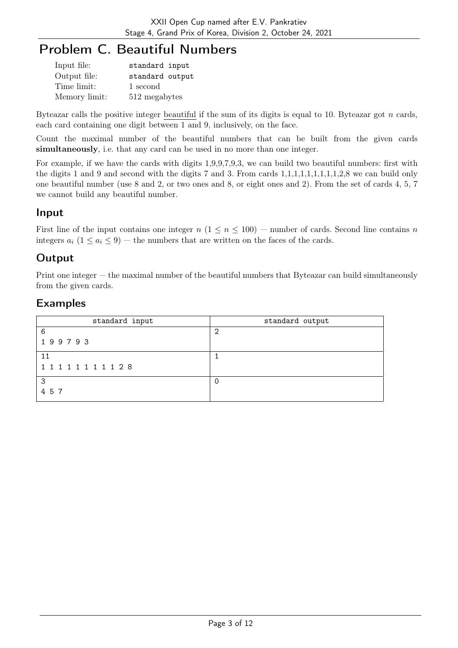# Problem C. Beautiful Numbers

| Input file:   | standard input  |
|---------------|-----------------|
| Output file:  | standard output |
| Time limit:   | 1 second        |
| Memory limit: | 512 megabytes   |

Byteazar calls the positive integer beautiful if the sum of its digits is equal to 10. Byteazar got  $n$  cards, each card containing one digit between 1 and 9, inclusively, on the face.

Count the maximal number of the beautiful numbers that can be built from the given cards simultaneously, i.e. that any card can be used in no more than one integer.

For example, if we have the cards with digits 1,9,9,7,9,3, we can build two beautiful numbers: first with the digits 1 and 9 and second with the digits 7 and 3. From cards 1,1,1,1,1,1,1,1,1,2,8 we can build only one beautiful number (use 8 and 2, or two ones and 8, or eight ones and 2). From the set of cards 4, 5, 7 we cannot build any beautiful number.

### Input

First line of the input contains one integer  $n (1 \le n \le 100)$  — number of cards. Second line contains n integers  $a_i$  ( $1 \le a_i \le 9$ ) — the numbers that are written on the faces of the cards.

### **Output**

Print one integer — the maximal number of the beautiful numbers that Byteazar can build simultaneously from the given cards.

| standard input        | standard output |
|-----------------------|-----------------|
| 6                     | റ               |
| 199793                |                 |
| 11                    |                 |
| 1 1 1 1 1 1 1 1 1 2 8 |                 |
| -3                    |                 |
| 457                   |                 |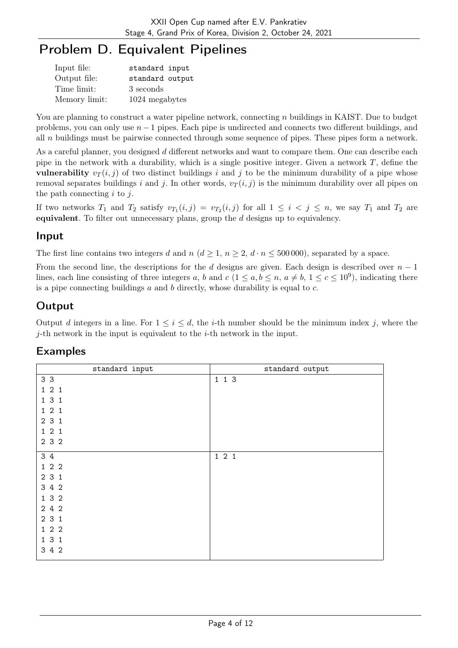# Problem D. Equivalent Pipelines

| Input file:   | standard input  |
|---------------|-----------------|
| Output file:  | standard output |
| Time limit:   | 3 seconds       |
| Memory limit: | 1024 megabytes  |

You are planning to construct a water pipeline network, connecting n buildings in KAIST. Due to budget problems, you can only use  $n - 1$  pipes. Each pipe is undirected and connects two different buildings, and all n buildings must be pairwise connected through some sequence of pipes. These pipes form a network.

As a careful planner, you designed d different networks and want to compare them. One can describe each pipe in the network with a durability, which is a single positive integer. Given a network  $T$ , define the vulnerability  $v_T(i, j)$  of two distinct buildings i and j to be the minimum durability of a pipe whose removal separates buildings i and j. In other words,  $v_T(i, j)$  is the minimum durability over all pipes on the path connecting  $i$  to  $j$ .

If two networks  $T_1$  and  $T_2$  satisfy  $v_{T_1}(i,j) = v_{T_2}(i,j)$  for all  $1 \leq i \leq j \leq n$ , we say  $T_1$  and  $T_2$  are equivalent. To filter out unnecessary plans, group the d designs up to equivalency.

### Input

The first line contains two integers d and  $n (d \geq 1, n \geq 2, d \cdot n \leq 500000)$ , separated by a space.

From the second line, the descriptions for the d designs are given. Each design is described over  $n-1$ lines, each line consisting of three integers a, b and  $c$   $(1 \le a, b \le n, a \ne b, 1 \le c \le 10^9)$ , indicating there is a pipe connecting buildings  $a$  and  $b$  directly, whose durability is equal to  $c$ .

### Output

Output d integers in a line. For  $1 \leq i \leq d$ , the *i*-th number should be the minimum index j, where the *j*-th network in the input is equivalent to the *i*-th network in the input.

| standard input | standard output |
|----------------|-----------------|
| 3 <sub>3</sub> | 113             |
| 121            |                 |
| 131            |                 |
| 121            |                 |
| 2 3 1          |                 |
| 121            |                 |
| 2 3 2          |                 |
| 3 4            | 121             |
| 122            |                 |
| 2 3 1          |                 |
| 3 4 2          |                 |
| 1 3 2          |                 |
| 2 4 2          |                 |
| 2 3 1          |                 |
| 122            |                 |
| 131            |                 |
| 3 4 2          |                 |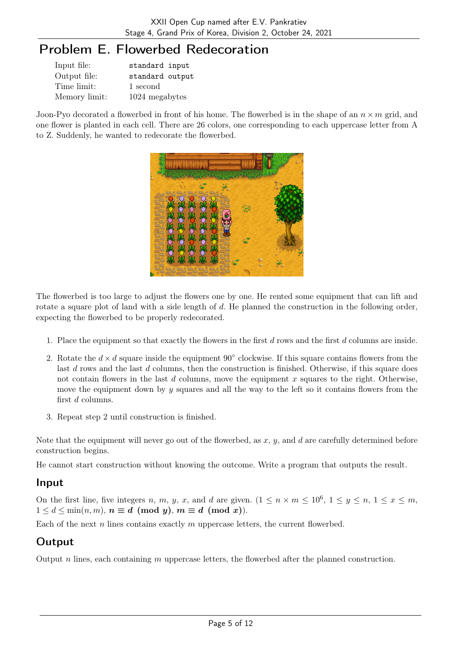## Problem E. Flowerbed Redecoration

| Input file:   | standard input  |
|---------------|-----------------|
| Output file:  | standard output |
| Time limit:   | 1 second        |
| Memory limit: | 1024 megabytes  |

Joon-Pyo decorated a flowerbed in front of his home. The flowerbed is in the shape of an  $n \times m$  grid, and one flower is planted in each cell. There are 26 colors, one corresponding to each uppercase letter from A to Z. Suddenly, he wanted to redecorate the flowerbed.



The flowerbed is too large to adjust the flowers one by one. He rented some equipment that can lift and rotate a square plot of land with a side length of d. He planned the construction in the following order, expecting the flowerbed to be properly redecorated.

- 1. Place the equipment so that exactly the flowers in the first d rows and the first d columns are inside.
- 2. Rotate the  $d \times d$  square inside the equipment 90 $\degree$  clockwise. If this square contains flowers from the last d rows and the last d columns, then the construction is finished. Otherwise, if this square does not contain flowers in the last  $d$  columns, move the equipment  $x$  squares to the right. Otherwise, move the equipment down by  $y$  squares and all the way to the left so it contains flowers from the first d columns.
- 3. Repeat step 2 until construction is finished.

Note that the equipment will never go out of the flowerbed, as  $x, y$ , and  $d$  are carefully determined before construction begins.

He cannot start construction without knowing the outcome. Write a program that outputs the result.

### Input

On the first line, five integers n, m, y, x, and d are given.  $(1 \leq n \times m \leq 10^6, 1 \leq y \leq n, 1 \leq x \leq m,$  $1 \leq d \leq \min(n, m), n \equiv d \pmod{y}, m \equiv d \pmod{x}.$ 

Each of the next n lines contains exactly  $m$  uppercase letters, the current flowerbed.

### **Output**

Output  $n$  lines, each containing  $m$  uppercase letters, the flowerbed after the planned construction.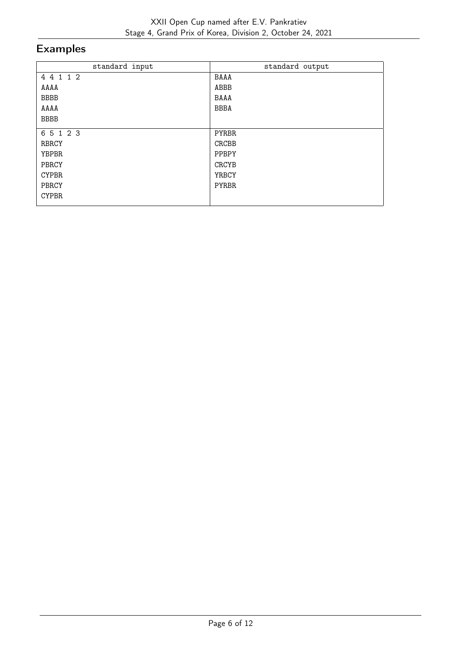| standard input | standard output |
|----------------|-----------------|
| 4 4 1 1 2      | BAAA            |
| AAAA           | ABBB            |
| <b>BBBB</b>    | BAAA            |
| AAAA           | <b>BBBA</b>     |
| <b>BBBB</b>    |                 |
| 6 5 1 2 3      | <b>PYRBR</b>    |
| <b>RBRCY</b>   | CRCBB           |
| <b>YBPBR</b>   | PPBPY           |
| PBRCY          | <b>CRCYB</b>    |
| <b>CYPBR</b>   | <b>YRBCY</b>    |
| PBRCY          | <b>PYRBR</b>    |
| <b>CYPBR</b>   |                 |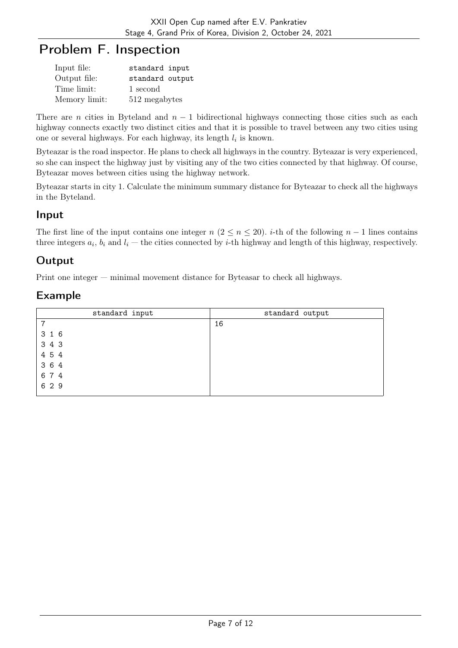## Problem F. Inspection

| Input file:   | standard input  |
|---------------|-----------------|
| Output file:  | standard output |
| Time limit:   | 1 second        |
| Memory limit: | 512 megabytes   |

There are n cities in Byteland and  $n - 1$  bidirectional highways connecting those cities such as each highway connects exactly two distinct cities and that it is possible to travel between any two cities using one or several highways. For each highway, its length  $l_i$  is known.

Byteazar is the road inspector. He plans to check all highways in the country. Byteazar is very experienced, so she can inspect the highway just by visiting any of the two cities connected by that highway. Of course, Byteazar moves between cities using the highway network.

Byteazar starts in city 1. Calculate the minimum summary distance for Byteazar to check all the highways in the Byteland.

#### Input

The first line of the input contains one integer  $n (2 \le n \le 20)$ . i-th of the following  $n-1$  lines contains three integers  $a_i$ ,  $b_i$  and  $l_i$  – the cities connected by *i*-th highway and length of this highway, respectively.

### Output

Print one integer — minimal movement distance for Byteasar to check all highways.

| standard input | standard output |
|----------------|-----------------|
| 7              | 16              |
| 3 1 6          |                 |
| 3 4 3          |                 |
| 4 5 4          |                 |
| 3 6 4          |                 |
| 6 7 4          |                 |
| 6 2 9          |                 |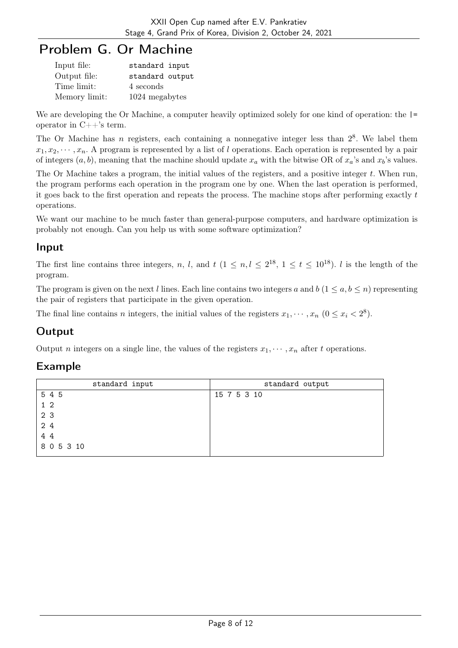# Problem G. Or Machine

| Input file:   | standard input  |
|---------------|-----------------|
| Output file:  | standard output |
| Time limit:   | 4 seconds       |
| Memory limit: | 1024 megabytes  |

We are developing the Or Machine, a computer heavily optimized solely for one kind of operation: the  $\vert$ = operator in  $C++$ 's term.

The Or Machine has n registers, each containing a nonnegative integer less than  $2<sup>8</sup>$ . We label them  $x_1, x_2, \dots, x_n$ . A program is represented by a list of l operations. Each operation is represented by a pair of integers  $(a, b)$ , meaning that the machine should update  $x_a$  with the bitwise OR of  $x_a$ 's and  $x_b$ 's values.

The Or Machine takes a program, the initial values of the registers, and a positive integer  $t$ . When run, the program performs each operation in the program one by one. When the last operation is performed, it goes back to the first operation and repeats the process. The machine stops after performing exactly  $t$ operations.

We want our machine to be much faster than general-purpose computers, and hardware optimization is probably not enough. Can you help us with some software optimization?

### Input

The first line contains three integers, n, l, and  $t$   $(1 \le n, l \le 2^{18}, 1 \le t \le 10^{18})$ . l is the length of the program.

The program is given on the next l lines. Each line contains two integers a and  $b$  ( $1 \le a, b \le n$ ) representing the pair of registers that participate in the given operation.

The final line contains *n* integers, the initial values of the registers  $x_1, \dots, x_n$   $(0 \le x_i < 2^8)$ .

### **Output**

Output *n* integers on a single line, the values of the registers  $x_1, \dots, x_n$  after *t* operations.

| standard input | standard output |
|----------------|-----------------|
| 5 4 5          | 15 7 5 3 10     |
| 1 <sub>2</sub> |                 |
| 2 3            |                 |
| 24             |                 |
| 4 4            |                 |
| 8 0 5 3 10     |                 |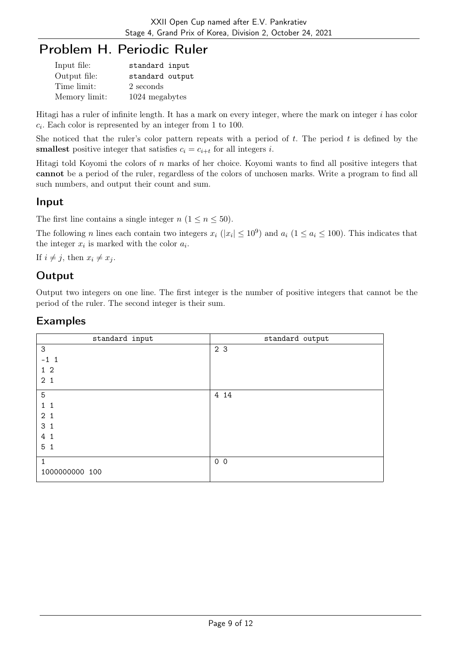## Problem H. Periodic Ruler

| Input file:   | standard input  |
|---------------|-----------------|
| Output file:  | standard output |
| Time limit:   | 2 seconds       |
| Memory limit: | 1024 megabytes  |

Hitagi has a ruler of infinite length. It has a mark on every integer, where the mark on integer i has color  $c_i$ . Each color is represented by an integer from 1 to 100.

She noticed that the ruler's color pattern repeats with a period of t. The period t is defined by the **smallest** positive integer that satisfies  $c_i = c_{i+t}$  for all integers *i*.

Hitagi told Koyomi the colors of  $n$  marks of her choice. Koyomi wants to find all positive integers that cannot be a period of the ruler, regardless of the colors of unchosen marks. Write a program to find all such numbers, and output their count and sum.

### Input

The first line contains a single integer  $n$   $(1 \le n \le 50)$ .

The following *n* lines each contain two integers  $x_i$  ( $|x_i| \le 10^9$ ) and  $a_i$  ( $1 \le a_i \le 100$ ). This indicates that the integer  $x_i$  is marked with the color  $a_i$ .

If  $i \neq j$ , then  $x_i \neq x_j$ .

### **Output**

Output two integers on one line. The first integer is the number of positive integers that cannot be the period of the ruler. The second integer is their sum.

| standard input        | standard output |
|-----------------------|-----------------|
| 3                     | 2 3             |
| $-1$ 1                |                 |
| 1 <sub>2</sub>        |                 |
| 2 <sub>1</sub>        |                 |
| 5                     | 4 14            |
| $1\quad1$             |                 |
| 2 <sub>1</sub>        |                 |
| 3 <sub>1</sub>        |                 |
| $4\overline{ }$<br>-1 |                 |
| 5 <sub>1</sub>        |                 |
|                       |                 |
| $\mathbf{1}$          | $0\quad 0$      |
| 1000000000 100        |                 |
|                       |                 |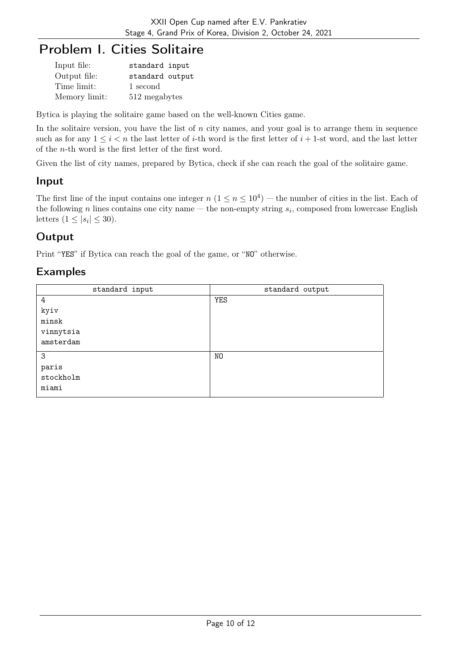# Problem I. Cities Solitaire

| Input file:   | standard input  |
|---------------|-----------------|
| Output file:  | standard output |
| Time limit:   | 1 second        |
| Memory limit: | 512 megabytes   |

Bytica is playing the solitaire game based on the well-known Cities game.

In the solitaire version, you have the list of  $n$  city names, and your goal is to arrange them in sequence such as for any  $1 \le i \le n$  the last letter of *i*-th word is the first letter of  $i + 1$ -st word, and the last letter of the n-th word is the first letter of the first word.

Given the list of city names, prepared by Bytica, check if she can reach the goal of the solitaire game.

### Input

The first line of the input contains one integer  $n (1 \le n \le 10^4)$  – the number of cities in the list. Each of the following n lines contains one city name – the non-empty string  $s_i$ , composed from lowercase English letters  $(1 \leq |s_i| \leq 30)$ .

### **Output**

Print "YES" if Bytica can reach the goal of the game, or "NO" otherwise.

| standard input | standard output |
|----------------|-----------------|
| 4              | <b>YES</b>      |
| kyiv           |                 |
| ${\tt minsk}$  |                 |
| vinnytsia      |                 |
| amsterdam      |                 |
| 3              | NO              |
| paris          |                 |
| stockholm      |                 |
| miami          |                 |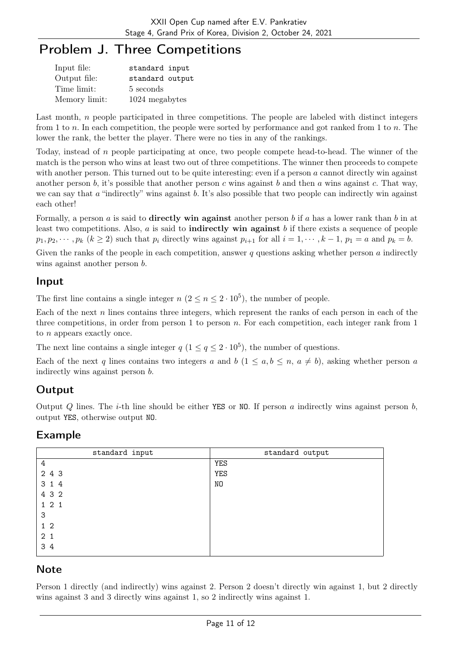## Problem J. Three Competitions

| Input file:   | standard input  |
|---------------|-----------------|
| Output file:  | standard output |
| Time limit:   | 5 seconds       |
| Memory limit: | 1024 megabytes  |

Last month, n people participated in three competitions. The people are labeled with distinct integers from 1 to n. In each competition, the people were sorted by performance and got ranked from 1 to n. The lower the rank, the better the player. There were no ties in any of the rankings.

Today, instead of n people participating at once, two people compete head-to-head. The winner of the match is the person who wins at least two out of three competitions. The winner then proceeds to compete with another person. This turned out to be quite interesting: even if a person a cannot directly win against another person b, it's possible that another person c wins against b and then a wins against c. That way, we can say that  $\alpha$  "indirectly" wins against  $\beta$ . It's also possible that two people can indirectly win against each other!

Formally, a person a is said to **directly win against** another person b if a has a lower rank than b in at least two competitions. Also,  $a$  is said to **indirectly win against**  $b$  if there exists a sequence of people  $p_1, p_2, \dots, p_k$   $(k \ge 2)$  such that  $p_i$  directly wins against  $p_{i+1}$  for all  $i = 1, \dots, k-1$ ,  $p_1 = a$  and  $p_k = b$ .

Given the ranks of the people in each competition, answer q questions asking whether person  $\alpha$  indirectly wins against another person  $b$ .

### Input

The first line contains a single integer  $n (2 \le n \le 2 \cdot 10^5)$ , the number of people.

Each of the next  $n$  lines contains three integers, which represent the ranks of each person in each of the three competitions, in order from person 1 to person n. For each competition, each integer rank from 1 to n appears exactly once.

The next line contains a single integer  $q$   $(1 \leq q \leq 2 \cdot 10^5)$ , the number of questions.

Each of the next q lines contains two integers a and b  $(1 \le a, b \le n, a \ne b)$ , asking whether person a indirectly wins against person b.

## Output

Output Q lines. The *i*-th line should be either YES or NO. If person a indirectly wins against person  $b$ , output YES, otherwise output NO.

## Example

| standard input | standard output |
|----------------|-----------------|
| 4              | <b>YES</b>      |
| 2 4 3          | <b>YES</b>      |
| 3 1 4          | NO              |
| 4 3 2          |                 |
| 121            |                 |
| 3              |                 |
| 1 <sub>2</sub> |                 |
| 2 <sub>1</sub> |                 |
| 3 4            |                 |

### **Note**

Person 1 directly (and indirectly) wins against 2. Person 2 doesn't directly win against 1, but 2 directly wins against 3 and 3 directly wins against 1, so 2 indirectly wins against 1.